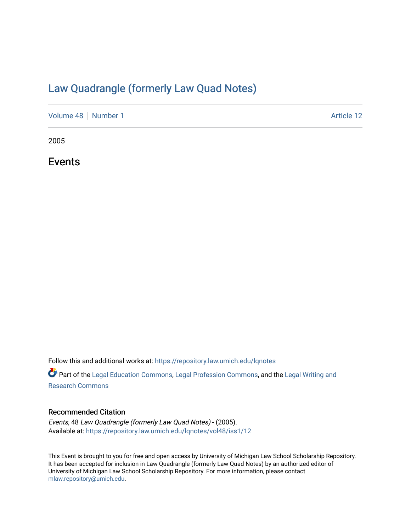## [Law Quadrangle \(formerly Law Quad Notes\)](https://repository.law.umich.edu/lqnotes)

[Volume 48](https://repository.law.umich.edu/lqnotes/vol48) | [Number 1](https://repository.law.umich.edu/lqnotes/vol48/iss1) Article 12

2005

Events

Follow this and additional works at: [https://repository.law.umich.edu/lqnotes](https://repository.law.umich.edu/lqnotes?utm_source=repository.law.umich.edu%2Flqnotes%2Fvol48%2Fiss1%2F12&utm_medium=PDF&utm_campaign=PDFCoverPages) 

Part of the [Legal Education Commons,](https://network.bepress.com/hgg/discipline/857?utm_source=repository.law.umich.edu%2Flqnotes%2Fvol48%2Fiss1%2F12&utm_medium=PDF&utm_campaign=PDFCoverPages) [Legal Profession Commons](https://network.bepress.com/hgg/discipline/1075?utm_source=repository.law.umich.edu%2Flqnotes%2Fvol48%2Fiss1%2F12&utm_medium=PDF&utm_campaign=PDFCoverPages), and the [Legal Writing and](https://network.bepress.com/hgg/discipline/614?utm_source=repository.law.umich.edu%2Flqnotes%2Fvol48%2Fiss1%2F12&utm_medium=PDF&utm_campaign=PDFCoverPages)  [Research Commons](https://network.bepress.com/hgg/discipline/614?utm_source=repository.law.umich.edu%2Flqnotes%2Fvol48%2Fiss1%2F12&utm_medium=PDF&utm_campaign=PDFCoverPages) 

### Recommended Citation

Events, 48 Law Quadrangle (formerly Law Quad Notes) - (2005). Available at: [https://repository.law.umich.edu/lqnotes/vol48/iss1/12](https://repository.law.umich.edu/lqnotes/vol48/iss1/12?utm_source=repository.law.umich.edu%2Flqnotes%2Fvol48%2Fiss1%2F12&utm_medium=PDF&utm_campaign=PDFCoverPages)

This Event is brought to you for free and open access by University of Michigan Law School Scholarship Repository. It has been accepted for inclusion in Law Quadrangle (formerly Law Quad Notes) by an authorized editor of University of Michigan Law School Scholarship Repository. For more information, please contact [mlaw.repository@umich.edu.](mailto:mlaw.repository@umich.edu)